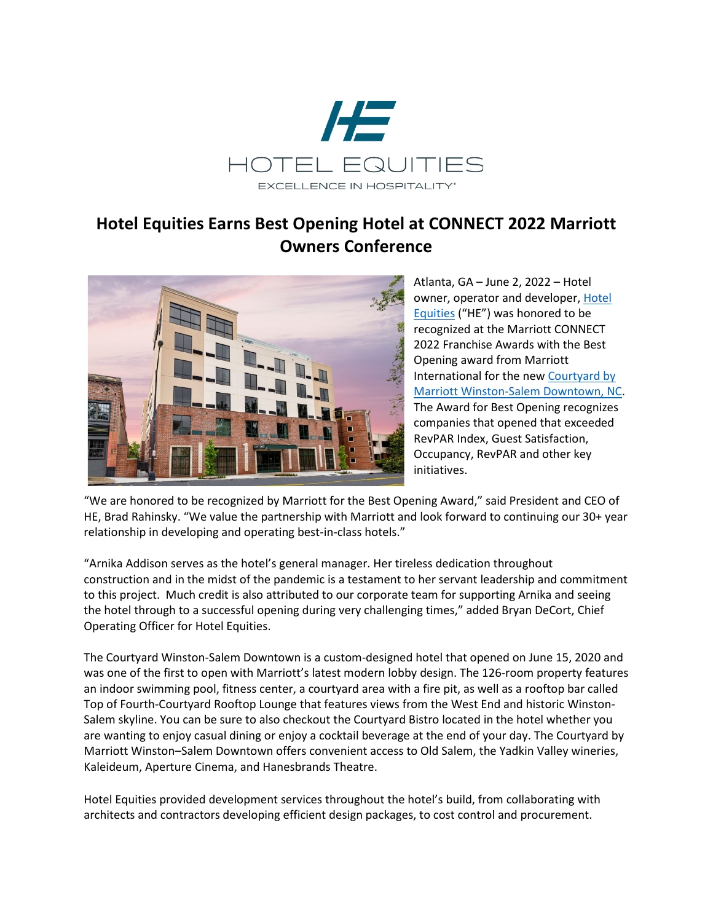

## **Hotel Equities Earns Best Opening Hotel at CONNECT 2022 Marriott Owners Conference**



Atlanta, GA – June 2, 2022 – Hotel owner, operator and developer, [Hotel](https://nam12.safelinks.protection.outlook.com/?url=http%3A%2F%2Fwww.hotelequities.com%2F&data=05%7C01%7C%7C1ed2b122d22643c22f2c08da4499c49f%7Ce00122f361ca4b09b7eeb3b8305e46fe%7C0%7C0%7C637897724496553455%7CUnknown%7CTWFpbGZsb3d8eyJWIjoiMC4wLjAwMDAiLCJQIjoiV2luMzIiLCJBTiI6Ik1haWwiLCJXVCI6Mn0%3D%7C3000%7C%7C%7C&sdata=Rm%2BiZx5lAoEPO9NMsFEXcatXV1tUZKae6Wc6AXbjhdI%3D&reserved=0)  [Equities](https://nam12.safelinks.protection.outlook.com/?url=http%3A%2F%2Fwww.hotelequities.com%2F&data=05%7C01%7C%7C1ed2b122d22643c22f2c08da4499c49f%7Ce00122f361ca4b09b7eeb3b8305e46fe%7C0%7C0%7C637897724496553455%7CUnknown%7CTWFpbGZsb3d8eyJWIjoiMC4wLjAwMDAiLCJQIjoiV2luMzIiLCJBTiI6Ik1haWwiLCJXVCI6Mn0%3D%7C3000%7C%7C%7C&sdata=Rm%2BiZx5lAoEPO9NMsFEXcatXV1tUZKae6Wc6AXbjhdI%3D&reserved=0) ("HE") was honored to be recognized at the Marriott CONNECT 2022 Franchise Awards with the Best Opening award from Marriott International for the new [Courtyard by](https://nam12.safelinks.protection.outlook.com/?url=https%3A%2F%2Fwww.marriott.com%2Fen-us%2Fhotels%2Fintcd-courtyard-winston-salem-downtown%2Foverview%2F%3Fscid%3D45f93f1b-bd77-45c9-8dab-83b6a417f6fe&data=05%7C01%7C%7C1ed2b122d22643c22f2c08da4499c49f%7Ce00122f361ca4b09b7eeb3b8305e46fe%7C0%7C0%7C637897724496553455%7CUnknown%7CTWFpbGZsb3d8eyJWIjoiMC4wLjAwMDAiLCJQIjoiV2luMzIiLCJBTiI6Ik1haWwiLCJXVCI6Mn0%3D%7C3000%7C%7C%7C&sdata=gMVylfAw78vt0uzWAIcpS2BdsUtcwh8y3pHBPCrXZcc%3D&reserved=0)  [Marriott Winston-Salem Downtown, NC.](https://nam12.safelinks.protection.outlook.com/?url=https%3A%2F%2Fwww.marriott.com%2Fen-us%2Fhotels%2Fintcd-courtyard-winston-salem-downtown%2Foverview%2F%3Fscid%3D45f93f1b-bd77-45c9-8dab-83b6a417f6fe&data=05%7C01%7C%7C1ed2b122d22643c22f2c08da4499c49f%7Ce00122f361ca4b09b7eeb3b8305e46fe%7C0%7C0%7C637897724496553455%7CUnknown%7CTWFpbGZsb3d8eyJWIjoiMC4wLjAwMDAiLCJQIjoiV2luMzIiLCJBTiI6Ik1haWwiLCJXVCI6Mn0%3D%7C3000%7C%7C%7C&sdata=gMVylfAw78vt0uzWAIcpS2BdsUtcwh8y3pHBPCrXZcc%3D&reserved=0) The Award for Best Opening recognizes companies that opened that exceeded RevPAR Index, Guest Satisfaction, Occupancy, RevPAR and other key initiatives.

"We are honored to be recognized by Marriott for the Best Opening Award," said President and CEO of HE, Brad Rahinsky. "We value the partnership with Marriott and look forward to continuing our 30+ year relationship in developing and operating best-in-class hotels."

"Arnika Addison serves as the hotel's general manager. Her tireless dedication throughout construction and in the midst of the pandemic is a testament to her servant leadership and commitment to this project. Much credit is also attributed to our corporate team for supporting Arnika and seeing the hotel through to a successful opening during very challenging times," added Bryan DeCort, Chief Operating Officer for Hotel Equities.

The Courtyard Winston-Salem Downtown is a custom-designed hotel that opened on June 15, 2020 and was one of the first to open with Marriott's latest modern lobby design. The 126-room property features an indoor swimming pool, fitness center, a courtyard area with a fire pit, as well as a rooftop bar called Top of Fourth-Courtyard Rooftop Lounge that features views from the West End and historic Winston-Salem skyline. You can be sure to also checkout the Courtyard Bistro located in the hotel whether you are wanting to enjoy casual dining or enjoy a cocktail beverage at the end of your day. The Courtyard by Marriott Winston–Salem Downtown offers convenient access to Old Salem, the Yadkin Valley wineries, Kaleideum, Aperture Cinema, and Hanesbrands Theatre.

Hotel Equities provided development services throughout the hotel's build, from collaborating with architects and contractors developing efficient design packages, to cost control and procurement.